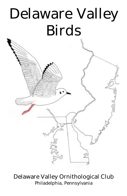# Delaware Valley Birds

### Delaware Valley Ornithological Club Philadelphia, Pennsylvania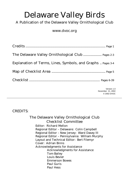## Delaware Valley Birds

#### A Publication of the Delaware Valley Ornithological Club

#### www.dvoc.org

| The Delaware Valley Ornithological Club  Pages 2-3          |
|-------------------------------------------------------------|
| Explanation of Terms, Lines, Symbols, and Graphs  Pages 3-4 |
|                                                             |
|                                                             |
| Version 1.0<br>November 21, 2002<br>© 2002 DVOC             |

#### CREDITS:

The Delaware Valley Ornithological Club Checklist Committee Editor: Richard Mellon Regional Editor – Delaware: Colin Campbell Regional Editor – New Jersey: Ward Dasey III Regional Editor – Pennsylvania: William Murphy Layout and Technical Editor: Bert Filemyr Cover: Adrian Binns Acknowledgments for Assistance Acknowledgments for Assistance Tom Bailey Louis Bevier Emmerson Bowes Paul Guris Paul Hess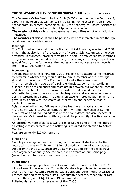#### **THE DELAWARE VALLEY ORNITHOLOGICAL CLUB** by Emmerson Bowes

The Delaware Valley Ornithological Club (DVOC) was founded on February 3, 1890 in Philadelphia at William L. Baily's family home at 1624 Arch Street, not far from its present home since 1891, the Academy of Natural Sciences at Nineteenth and the Parkway, Philadelphia, Pennsylvania.

*The mission of this club* is the advancement and diffusion of ornithological knowledge.

*The members of this club* shall be persons who are interested in ornithology considered in its widest sense.

#### **Meetings**

The Club meetings are held on the first and third Thursday evenings at 7:30 p.m. in the auditorium of the Academy of Natural Sciences unless otherwise arranged. In summer, informal meetings are held in smaller rooms. Meetings are generally well attended and are lively proceedings, featuring a speaker or special forum, time for general field notes and announcements or reports from the various committees.

#### **Membership**

Persons interested in joining the DVOC are invited to attend some meetings to determine whether they would like to join. A member at the meetings should introduce them. The President will make them welcome. The membership is made up of birding enthusiasts, some may be distin-

guished, some are beginners and most are in between but we are all learning and share the bond of enthusiasm for bird-life and related aspects.

We particularly welcome young people, beginners and anyone who is seriously interested in birding. The club is an excellent organization in which to grow in this field with the wealth of information and expertise that is available to members.

Bylaws require that two Fellows or Active Members in good standing shall make nominations to Active Membership in writing. They shall state the qualifications and mailing address of their candidates, the genuineness of the candidate's interest in ornithology and the probability of active participation in the Club.

An affirmative vote of at least two thirds of Council and of the members of all voting classes present at the balloting is required for election to Active Member.

Fees are currently \$25.00 / annum.

#### **Field Trips**

Field trips are regular features throughout the year. Historically the first recorded trip was to Tinicum in 1890, followed by more adventurous sea trips from Atlantic City. Since 1950's as many as a dozen field trips have been organized annually. See the calendar of events on our home page (www.dvoc.org) for current and recent field trips.

#### **Publications**

The club's principal publication is Cassinia, which made its debut in 1901 with Witmer Stone as editor. Currently, Cassinia is published for members every other year. Cassinia features lead articles and other notes, abstracts of proceedings and membership lists. Photographic records, especially of rare birds in the region of NJ, PA, and DE, are important features. Philadephia Larus is the newsletter of the DVOC.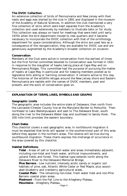#### **The DVOC Collection.**

An extensive collection of birds of Pennsylvania and New Jersey with their nests and eggs was started by the club in 1891 and displayed in the museum of the Academy of Natural Sciences. In addition the club maintained a very fine collection of skins which were kept separate from the Academy's collection and used extensively by members to illustrate talks or for study. This collection was always on hand for meetings that were held until early 1970s when the bird department moved to new quarters and it became necessary to incorporate the DVOC collection with that of the ornithology department for space considerations. Although the skins are used less as a consequence of the reorganization, they are available for DVOC use and are generously augmented by the Academy's broader collection on occasion.

#### **Conservation**

Members of the Club were active in conservation from the earliest of times but the first formal committee devoted to Conservation was formed in 1931 in response to the slaughter of hawks taking place at Cape May and on Pennsylvania Ridges. This committee had the purpose of pursuing the matter of hawks at Cape May in particular and for keeping members posted as to legislative bills aiding or harming conservation. It remains active to this day. The histories of the wildlife refuges around the New Jersey shore and Eastern Pennsylvania are replete with the names of DVOC members, past and present, and the work of conservation goes on.

#### **EXPLANATION OF TERMS, LINES, SYMBOLS AND GRAPHS**

#### **Geographic Limits**

The geographic area includes the entire state of Delaware, then north from the Lancaster/Chester County line at the Maryland Border to Pottsville. Then northeast to Lake Wallenpuapack and east to The Delaware River, south along the river to the Delaware Water Gap and southeast to Sandy Hook. The 200 mile limit provides the eastern boundary.

#### **Chart Dates**

This checklist covers a vast geographic area. In northbound migration it must be expected that birds will appear in the southernmost part of this area before they appear in the northern areas. The reverse will be true during southbound migration. These charts express the midrange of occurrence in the area covered by this checklist.

#### **Habitat Definitions**

**Tidal** - Areas of salt or brackish water and areas immediately adjacent, including non-tidal and fresh water, artificial impoundments, and upland fields and forest. This habitat type extends north along the Delaware River to the Delaware Memorial Bridge.

**Pine Barrens** - Low nutrient, intensely acidic sandy or organic soil habitats of pine, oak, Atlantic White Cedar or Red Maple, plus associated blueberry and cranberry agricultural areas.

**Coastal Plain** - The remaining non-tidal, fresh water tidal and non-Pine Barrens coastal plain areas.

**Piedmont** - From the Fall Line to the Allegheny Plateau. **Mountains** - Allegheny Plateau.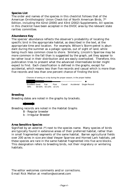#### **Species List**

The order and names of the species in this checklist follows that of the American Ornithologists' Union Check-list of North American Birds,  $7<sup>th</sup>$ Edition, including the 42nd (2000) and 43rd (2002) Supplements. All species in this checklist have been accepted in the DVOC area by the relevant state rarities committee.

#### **Abundance Key**

The species' abundance reflects the observer's probability of locating the specific bird in the appropriate habitat, as described in the text, at the appropriate time and location. For example, Wilson's Storm-petrel is abundant during the summer as a pelagic species, out of sight of land, while being much less common close to shore. Similarly, Lincoln's Sparrow may be more common in the fall than is suggested by the graph, yet they appear to be rather local in their distribution and are easily overlooked. Therefore, this publication tries to present what the advanced intermediate birder might expect to find. Each classification is defined in the graphs, except for accidental, which means less than five records and casual which is more than five records and less than one percent chance of finding the bird.

Chances of seeing on a trip during the proper season, in the proper habitat.

Excellent Good Fair Poor<br>99% 99-50% 50-10% 10-1% Casual Accidental Single Record  $\bullet$ 

................

#### **Breeding**

Breeding dates are noted in the graphs by brackets.



Breeding records are noted in the Habitat Graphs

- B Regular breeder
- b Irregular Breeder

#### **Area Sensitive Species**

Signified by an asterisk (\*) next to the species name. Many species of birds are typically found in extensive areas of their preferred habitat, rather than in small fragmented segments of the same habitat. Barren agricultural fields over 200 acres in size are ideal Vesper Sparrow and Horned Lark habitats, yet these species are rare in the same habitat fragmented into five acre blocks. This designation refers to breeding birds, not their migratory or wintering habitats.

The editor welcomes comments and/or corrections. E-mail Rick Mellon at rmellon@voicenet.com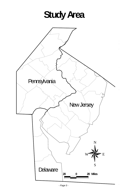**Study Area**

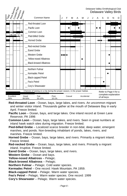

**Red-throated Loon** - Ocean, bays, large lakes, and rivers. An uncommon migrant and winter visitor inland. Thousands gather at the mouth of Delaware Bay in early April. Freeze limited.

- **Pacific Loon** Ocean, bays, and large lakes. One inland record at Green Lane Reservoir, PA 1996
- **Common Loon** Ocean, bays, large lakes, and rivers. Seen in great numbers at inland hawk watch sites during migration. Freeze limited.
- **Pied-billed Grebe** Localized scarce breeder in non-tidal, deep water, emergent marshes, and ponds. Non-breeding inhabitant of ponds, lakes, rivers, and marshes. Freeze limited.
- **Horned Grebe** Ocean, bays, large lakes, and rivers. Primarily a migrant inland. Freeze limited.
- **Red-necked Grebe** Ocean, bays, large lakes, and rivers. Primarily a migrant inland. Irruptive. Freeze limited.
- **Eared Grebe** Ocean, bays, large lakes, and rivers.
- **Western Grebe** Ocean and bays.
- **Yellow-nosed Albatross** Pelagic.
- **Black-browed Albatross** Pelagic.
- **Northern Fulmar** Pelagic. Cold water species.
- **Kermadec Petrel** One record: Hawk Mountain, PA 1959.
- **Black-capped Petrel** Pelagic. Warm water species.
- **Fea's Petrel** Pelagic. Warm water species. One record: 1999
- **Cory's Shearwater** Pelagic. Warm water species.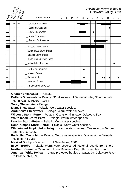|      | Pine Barrens<br>Coastal Pian<br>Piedmont<br>I Mountain |                                                                                                                                           |   |   |   |   |   |  |   |   |   | Delaware Valley Ornithological Club<br>Delaware Valley Birds |
|------|--------------------------------------------------------|-------------------------------------------------------------------------------------------------------------------------------------------|---|---|---|---|---|--|---|---|---|--------------------------------------------------------------|
| Trag |                                                        | Common Name                                                                                                                               | J | E | м | A | м |  | S | O | N | D                                                            |
|      | . <b>.</b>                                             | Greater Shearwater<br>_ Buller's Shearwater<br>_ Sooty Shearwater<br>_ Manx Shearwater<br>Audubon's Shearwater                            |   |   |   |   |   |  |   |   |   |                                                              |
|      |                                                        | Wilson's Storm-Petrel<br>White-faced Storm-Petrel<br>Leach's Storm-Petrel<br><b>Band-rumped Storm-Petrel</b><br>_ White-tailed Tropicbird |   |   |   |   |   |  |   |   |   |                                                              |
|      |                                                        | Red-billed Tropicbird<br>Masked Booby<br>Brown Booby<br>Northern Gannet<br>American White Pelican                                         |   |   |   |   |   |  |   |   |   |                                                              |

**Greater Shearwater** – Pelagic.

**Buller's Shearwater** – Pelagic. 31 Miles east of Barnegat Inlet, NJ – the only North Atlantic record - 1984.

**Sooty Shearwater** – Pelagic.

**Manx Shearwater** – Pelagic. Cold water species.

**Audubon's Shearwater** – Pelagic. Warm water species.

**Wilson's Storm-Petrel** – Pelagic. Occasional in lower Delaware Bay.

**White-faced Storm-Petrel** – Pelagic. Warm water species.

**Leach's Storm-Petrel** – Pelagic. Cold water species.

**Band-rumped Storm-Petrel** – Pelagic. Warm water species.

**White-tailed Tropicbird** – Pelagic. Warm water species. One record – Barnegat Inlet, NJ 1985.

**Red-billed Tropicbird** – Pelagic. Warm water species. One record – Seaside Heights, NJ 1983.

**Masked Booby** - One record: off New Jersey 2001.

**Brown Booby** – Pelagic. Warm water species. All regional records from shore.

**Northern Gannet** – Ocean and lower Delaware Bay, often seen from land.

**American White Pelican** – Large protected bodies of water. On Delaware River to Philadelphia, PA.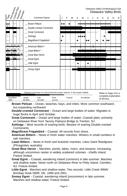| Trday<br>Pine Barrens<br>Coastal Plain<br>Piedmont<br>  Mountain                                                                                                                                           |                                            |                        |                                  |        |                                                                            |   |   |   |   |   |   |  | Delaware Valley Ornithological Club<br>Delaware Valley Birds |   |   |   |   |  |  |
|------------------------------------------------------------------------------------------------------------------------------------------------------------------------------------------------------------|--------------------------------------------|------------------------|----------------------------------|--------|----------------------------------------------------------------------------|---|---|---|---|---|---|--|--------------------------------------------------------------|---|---|---|---|--|--|
|                                                                                                                                                                                                            |                                            |                        |                                  |        | Common Name                                                                | J | F | м | A | М | J |  | Α                                                            | S | O | N | D |  |  |
| $\mathbf b$                                                                                                                                                                                                |                                            |                        |                                  |        | <b>Brown Pelican</b><br>Double-crested Cormorant<br><b>Great Cormorant</b> |   |   |   |   |   |   |  |                                                              |   |   |   |   |  |  |
|                                                                                                                                                                                                            |                                            |                        |                                  |        | Anhinga<br>Magnificent Frigatebird                                         |   |   |   |   |   |   |  |                                                              |   |   |   |   |  |  |
| B<br>B<br>B                                                                                                                                                                                                | $\mathbf B$<br>$\mathbf B$<br><sub>B</sub> | B<br><sub>B</sub><br>B | $\mathbf B$<br>B<br>$\, {\bf B}$ | B<br>B | _ American Bittern *<br>Least Bittern*                                     |   |   |   |   |   |   |  |                                                              |   |   |   |   |  |  |
| B                                                                                                                                                                                                          |                                            | B                      |                                  |        | Great Blue Heron<br><b>Great Egret</b><br>Little Egret                     |   |   |   |   |   |   |  | T = 1                                                        |   |   |   |   |  |  |
| B                                                                                                                                                                                                          |                                            | B                      |                                  |        | Snowy Egret                                                                |   |   |   |   |   |   |  |                                                              |   |   |   |   |  |  |
| Chances of seeing on a trip during the proper season, in the proper habitat.<br>Refer to Page 4 for a<br>complete explanation<br>Excellent<br>Fair<br>Good<br>Poor<br>Casual<br>Accidental<br>of all keys. |                                            |                        |                                  |        |                                                                            |   |   |   |   |   |   |  |                                                              |   |   |   |   |  |  |

**Brown Pelican** – Ocean, beaches, bays, and inlets. More common southward, but expanding northward.

**Double-crested Cormorant** – Ocean and large bodies of water. Migrates in huge flocks in April and October.

**Great Cormorant** – Ocean and large bodies of water. Coastal plain, primarily on Delaware River from Tacony Palmyra Bridge to Trenton, NJ.

**Anhinga** – Most records of soaring birds. Beware of soaring Double-crested Cormorants.

**Magnificent Frigatebird** – Coastal. All records from shore.

99% 99-50% 50-10% 10-1%

- **American Bittern** Nests in fresh water marshes. Winters in small numbers in salt marshes.
- **Least Bittern** Nests in fresh and brackish marshes. Likes Giant Reedgrass (Phragmites australis).
- **Great Blue Heron** Marshes, ponds, lakes, rivers, and streams. Increasing, although uncommon nester in widely scattered colonies - chiefly inland. Freeze limited.
- **Great Egret** Coastal, wandering inland (common) in late summer. Marshes and shallow water. Nests north on Delaware River to Petty Island, Camden, NJ. Freeze limited.
- **Little Egret** Marshes and shallow water. Two records: Little Creek WMA/ Bombay Hook NWR, DE. 1999 and 2001.
- **Snowy Egret** Coastal, wandering inland (uncommon) in late summer. Marshes and shallow water. Freeze limited.